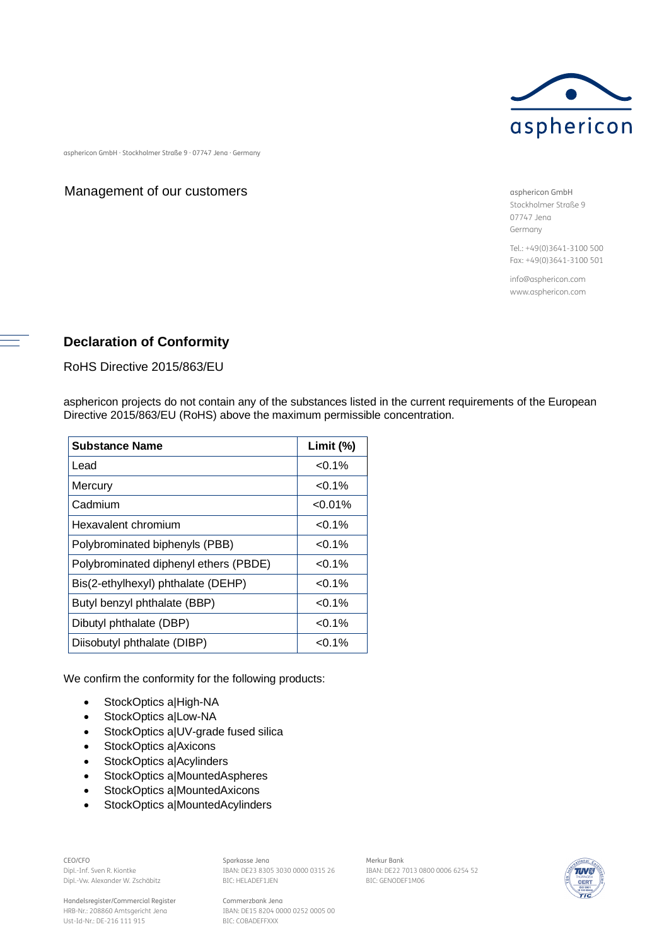

asphericon GmbH · Stockholmer Straße 9 · 07747 Jena · Germany

## Management of our customers

asphericon GmbH Stockholmer Straße 9 07747 Jena Germany

Tel.: +49(0)3641-3100 500 Fax: +49(0)3641-3100 501

info@asphericon.com www.asphericon.com

## **Declaration of Conformity**

RoHS Directive 2015/863/EU

asphericon projects do not contain any of the substances listed in the current requirements of the European Directive 2015/863/EU (RoHS) above the maximum permissible concentration.

| <b>Substance Name</b>                 | Limit (%)  |
|---------------------------------------|------------|
| Lead                                  | $< 0.1\%$  |
| Mercury                               | $< 0.1\%$  |
| Cadmium                               | $< 0.01\%$ |
| Hexavalent chromium                   | $< 0.1\%$  |
| Polybrominated biphenyls (PBB)        | $< 0.1\%$  |
| Polybrominated diphenyl ethers (PBDE) | $< 0.1\%$  |
| Bis(2-ethylhexyl) phthalate (DEHP)    | $< 0.1\%$  |
| Butyl benzyl phthalate (BBP)          | $< 0.1\%$  |
| Dibutyl phthalate (DBP)               | $< 0.1\%$  |
| Diisobutyl phthalate (DIBP)           | $< 0.1\%$  |

We confirm the conformity for the following products:

- · StockOptics a|High-NA
- · StockOptics a|Low-NA
- · StockOptics a|UV-grade fused silica
- · StockOptics a|Axicons
- · StockOptics a|Acylinders
- · StockOptics a|MountedAspheres
- · StockOptics a|MountedAxicons
- · StockOptics a|MountedAcylinders

CEO/CFO Dipl.-Inf. Sven R. Kiontke Dipl.-Vw. Alexander W. Zschäbitz

Handelsregister/Commercial Register HRB-Nr.: 208860 Amtsgericht Jena Ust-Id-Nr.: DE-216 111 915

Sparkasse Jena IBAN: DE23 8305 3030 0000 0315 26 BIC: HELADEF1JEN

IBAN: DE15 8204 0000 0252 0005 00

Commerzbank Jena

BIC: COBADEFFXXX

BIC: GENODEF1M06

Merkur Bank IBAN: DE22 7013 0800 0006 6254 52